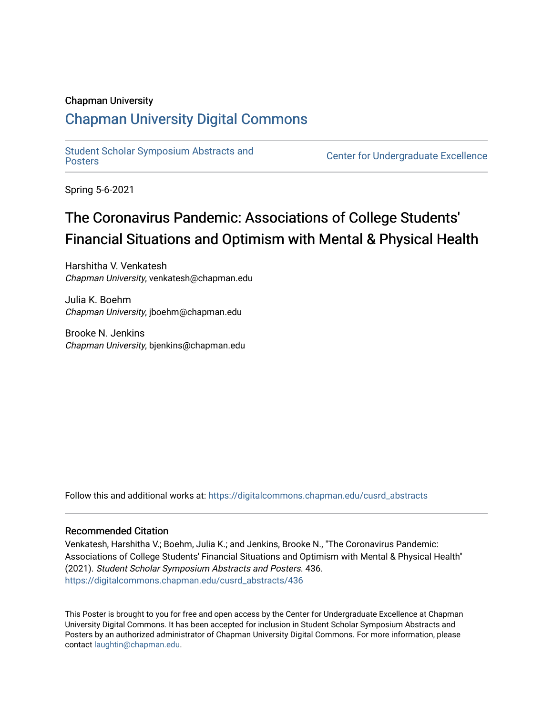## Chapman University

## [Chapman University Digital Commons](https://digitalcommons.chapman.edu/)

[Student Scholar Symposium Abstracts and](https://digitalcommons.chapman.edu/cusrd_abstracts) 

**Center for Undergraduate Excellence** 

Spring 5-6-2021

## The Coronavirus Pandemic: Associations of College Students' Financial Situations and Optimism with Mental & Physical Health

Harshitha V. Venkatesh Chapman University, venkatesh@chapman.edu

Julia K. Boehm Chapman University, jboehm@chapman.edu

Brooke N. Jenkins Chapman University, bjenkins@chapman.edu

Follow this and additional works at: [https://digitalcommons.chapman.edu/cusrd\\_abstracts](https://digitalcommons.chapman.edu/cusrd_abstracts?utm_source=digitalcommons.chapman.edu%2Fcusrd_abstracts%2F436&utm_medium=PDF&utm_campaign=PDFCoverPages) 

## Recommended Citation

Venkatesh, Harshitha V.; Boehm, Julia K.; and Jenkins, Brooke N., "The Coronavirus Pandemic: Associations of College Students' Financial Situations and Optimism with Mental & Physical Health" (2021). Student Scholar Symposium Abstracts and Posters. 436. [https://digitalcommons.chapman.edu/cusrd\\_abstracts/436](https://digitalcommons.chapman.edu/cusrd_abstracts/436?utm_source=digitalcommons.chapman.edu%2Fcusrd_abstracts%2F436&utm_medium=PDF&utm_campaign=PDFCoverPages) 

This Poster is brought to you for free and open access by the Center for Undergraduate Excellence at Chapman University Digital Commons. It has been accepted for inclusion in Student Scholar Symposium Abstracts and Posters by an authorized administrator of Chapman University Digital Commons. For more information, please contact [laughtin@chapman.edu](mailto:laughtin@chapman.edu).